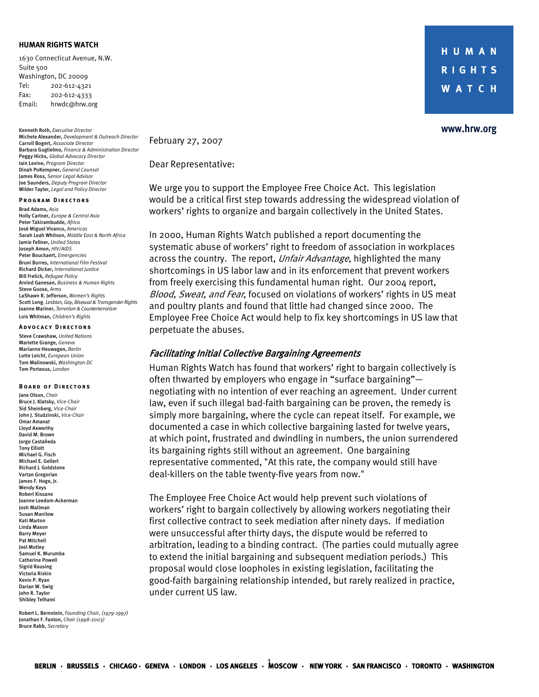### **HUMAN RIGHTS WATCH**

1630 Connecticut Avenue, N.W. Suite 500 Washington, DC 20009 Tel: 202-612-4321 Fax: 202-612-4333 Email: hrwdc@hrw.org

Kenneth Roth, *Executive Director* Michele Alexander, *Development & Outreach Director* Carroll Bogert, *Associate Director*  Barbara Guglielmo, *Finance & Administration Director* Peggy Hicks, *Global Advocacy Director*  Iain Levine, *Program Director*  Dinah PoKempner, *General Counsel*  James Ross, *Senior Legal Advisor* Joe Saunders, *Deputy Program Director*  Wilder Tayler, *Legal and Policy Director* 

#### **PROGRAM DIRECTORS**

Brad Adams, *Asia*  Holly Cartner, *Europe & Central Asia*  Peter Takirambudde, *Africa*  José Miguel Vivanco, *Americas* Sarah Leah Whitson, *Middle East & North Africa*  Jamie Fellner, *United States* Joseph Amon, *HIV/AIDS* Peter Bouckaert, *Emergencies* Bruni Burres, *International Film Festival*  Richard Dicker, *International Justice*  Bill Frelick, *Refugee Policy*  Arvind Ganesan, *Business & Human Rights*  Steve Goose, *Arms* LaShawn R. Jefferson, *Women's Rights* Scott Long, *Lesbian, Gay, Bisexual& Transgender Rights*  Joanne Mariner, *Terrorism & Counterterrorism* Lois Whitman, *Children's Rights*

#### **Advo c acy Dir e c to r s**

Steve Crawshaw, *United Nations*  Mariette Grange, *Geneva* Marianne Heuwagen, *Berlin* Lotte Leicht, *European Union* Tom Malinowski, *Washington DC* Tom Porteous, *London* 

#### **BOARD OF DIRECTORS**

Jane Olson, *Chair* Bruce J. Klatsky, *Vice-Chair* Sid Sheinberg, *Vice-Chair* John J. Studzinski, *Vice-Chair* Omar Amanat Lloyd Axworthy David M. Brown Jorge Castañeda Tony Elliott Michael G. Fisch Michael E. Gellert Richard I. Goldstone Vartan Gregorian James F. Hoge, Jr. Wendy Keys Robert Kissane Joanne Leedom-Ackerman Josh Mailman Susan Manilow Kati Marton Linda Mason Barry Meyer Pat Mitchell Joel Motley Samuel K. Murumba Catherine Powell Sigrid Rausing Victoria Riskin Kevin P. Ryan Darian W. Swig John R. Taylor Shibley Telhami

Robert L. Bernstein, *Founding Chair, (1979-1997)*  Jonathan F. Fanton, *Chair (1998-2003)* Bruce Rabb, *Secretary* 

HUMAN **RIGHTS WATCH** 

### www.hrw.org

February 27, 2007

Dear Representative:

We urge you to support the Employee Free Choice Act. This legislation would be a critical first step towards addressing the widespread violation of workers' rights to organize and bargain collectively in the United States.

In 2000, Human Rights Watch published a report documenting the systematic abuse of workers' right to freedom of association in workplaces across the country. The report, Unfair Advantage, highlighted the many shortcomings in US labor law and in its enforcement that prevent workers from freely exercising this fundamental human right. Our 2004 report, Blood, Sweat, and Fear, focused on violations of workers' rights in US meat and poultry plants and found that little had changed since 2000. The Employee Free Choice Act would help to fix key shortcomings in US law that perpetuate the abuses.

## Facilitating Initial Collective Bargaining Agreements

Human Rights Watch has found that workers' right to bargain collectively is often thwarted by employers who engage in "surface bargaining" negotiating with no intention of ever reaching an agreement. Under current law, even if such illegal bad-faith bargaining can be proven, the remedy is simply more bargaining, where the cycle can repeat itself. For example, we documented a case in which collective bargaining lasted for twelve years, at which point, frustrated and dwindling in numbers, the union surrendered its bargaining rights still without an agreement. One bargaining representative commented, "At this rate, the company would still have deal-killers on the table twenty-five years from now."

The Employee Free Choice Act would help prevent such violations of workers' right to bargain collectively by allowing workers negotiating their first collective contract to seek mediation after ninety days. If mediation were unsuccessful after thirty days, the dispute would be referred to arbitration, leading to a binding contract. (The parties could mutually agree to extend the initial bargaining and subsequent mediation periods.) This proposal would close loopholes in existing legislation, facilitating the good-faith bargaining relationship intended, but rarely realized in practice, under current US law.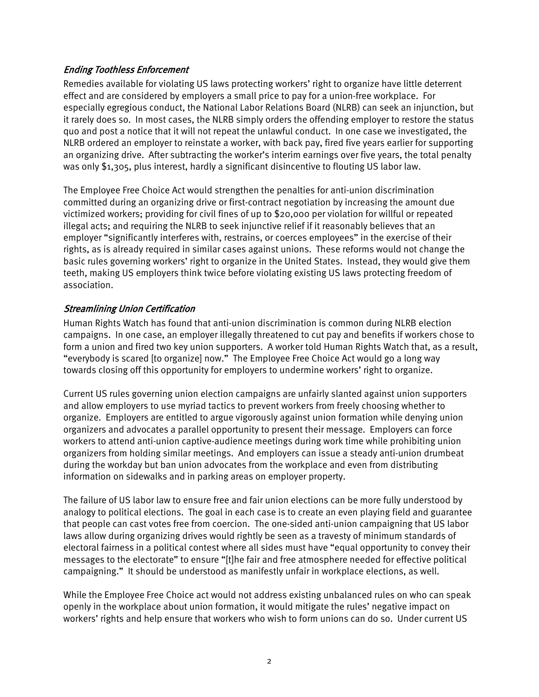# Ending Toothless Enforcement

Remedies available for violating US laws protecting workers' right to organize have little deterrent effect and are considered by employers a small price to pay for a union-free workplace. For especially egregious conduct, the National Labor Relations Board (NLRB) can seek an injunction, but it rarely does so. In most cases, the NLRB simply orders the offending employer to restore the status quo and post a notice that it will not repeat the unlawful conduct. In one case we investigated, the NLRB ordered an employer to reinstate a worker, with back pay, fired five years earlier for supporting an organizing drive. After subtracting the worker's interim earnings over five years, the total penalty was only \$1,305, plus interest, hardly a significant disincentive to flouting US labor law.

The Employee Free Choice Act would strengthen the penalties for anti-union discrimination committed during an organizing drive or first-contract negotiation by increasing the amount due victimized workers; providing for civil fines of up to \$20,000 per violation for willful or repeated illegal acts; and requiring the NLRB to seek injunctive relief if it reasonably believes that an employer "significantly interferes with, restrains, or coerces employees" in the exercise of their rights, as is already required in similar cases against unions. These reforms would not change the basic rules governing workers' right to organize in the United States. Instead, they would give them teeth, making US employers think twice before violating existing US laws protecting freedom of association.

## Streamlining Union Certification

Human Rights Watch has found that anti-union discrimination is common during NLRB election campaigns. In one case, an employer illegally threatened to cut pay and benefits if workers chose to form a union and fired two key union supporters. A worker told Human Rights Watch that, as a result, "everybody is scared [to organize] now." The Employee Free Choice Act would go a long way towards closing off this opportunity for employers to undermine workers' right to organize.

Current US rules governing union election campaigns are unfairly slanted against union supporters and allow employers to use myriad tactics to prevent workers from freely choosing whether to organize. Employers are entitled to argue vigorously against union formation while denying union organizers and advocates a parallel opportunity to present their message. Employers can force workers to attend anti-union captive-audience meetings during work time while prohibiting union organizers from holding similar meetings. And employers can issue a steady anti-union drumbeat during the workday but ban union advocates from the workplace and even from distributing information on sidewalks and in parking areas on employer property.

The failure of US labor law to ensure free and fair union elections can be more fully understood by analogy to political elections. The goal in each case is to create an even playing field and guarantee that people can cast votes free from coercion. The one-sided anti-union campaigning that US labor laws allow during organizing drives would rightly be seen as a travesty of minimum standards of electoral fairness in a political contest where all sides must have "equal opportunity to convey their messages to the electorate" to ensure "[t]he fair and free atmosphere needed for effective political campaigning." It should be understood as manifestly unfair in workplace elections, as well.

While the Employee Free Choice act would not address existing unbalanced rules on who can speak openly in the workplace about union formation, it would mitigate the rules' negative impact on workers' rights and help ensure that workers who wish to form unions can do so. Under current US